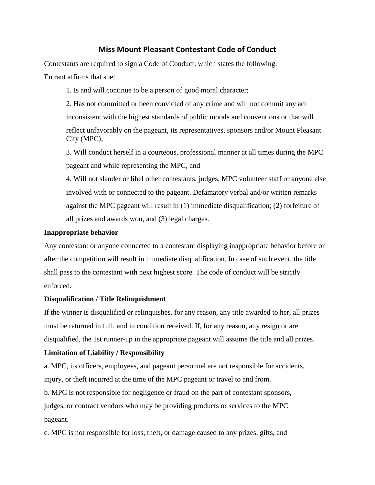# **Miss Mount Pleasant Contestant Code of Conduct**

Contestants are required to sign a Code of Conduct, which states the following: Entrant affirms that she:

1. Is and will continue to be a person of good moral character;

2. Has not committed or been convicted of any crime and will not commit any act inconsistent with the highest standards of public morals and conventions or that will reflect unfavorably on the pageant, its representatives, sponsors and/or Mount Pleasant City (MPC);

3. Will conduct herself in a courteous, professional manner at all times during the MPC pageant and while representing the MPC, and

4. Will not slander or libel other contestants, judges, MPC volunteer staff or anyone else involved with or connected to the pageant. Defamatory verbal and/or written remarks against the MPC pageant will result in (1) immediate disqualification; (2) forfeiture of all prizes and awards won, and (3) legal charges.

#### **Inappropriate behavior**

Any contestant or anyone connected to a contestant displaying inappropriate behavior before or after the competition will result in immediate disqualification. In case of such event, the title shall pass to the contestant with next highest score. The code of conduct will be strictly enforced.

## **Disqualification / Title Relinquishment**

If the winner is disqualified or relinquishes, for any reason, any title awarded to her, all prizes must be returned in full, and in condition received. If, for any reason, any resign or are disqualified, the 1st runner-up in the appropriate pageant will assume the title and all prizes.

## **Limitation of Liability / Responsibility**

a. MPC, its officers, employees, and pageant personnel are not responsible for accidents, injury, or theft incurred at the time of the MPC pageant or travel to and from.

b. MPC is not responsible for negligence or fraud on the part of contestant sponsors, judges, or contract vendors who may be providing products or services to the MPC pageant.

c. MPC is not responsible for loss, theft, or damage caused to any prizes, gifts, and